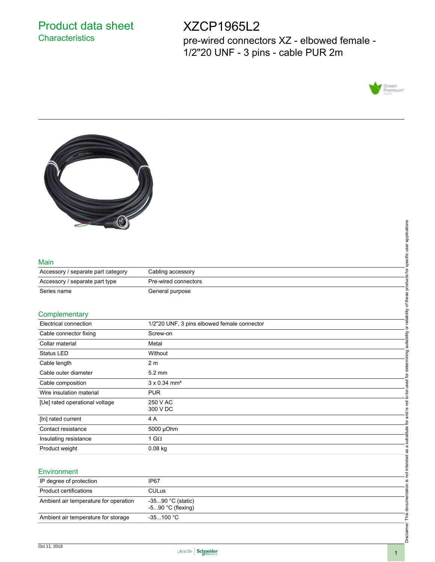# Product data sheet **Characteristics**

# XZCP1965L2

pre-wired connectors XZ - elbowed female - 1/2"20 UNF - 3 pins - cable PUR 2m





### Main

| Accessory / separate part category | Cabling accessory    |
|------------------------------------|----------------------|
| Accessory / separate part type     | Pre-wired connectors |
| Series name                        | General purpose      |

## **Complementary**

|                                 | applications                                                                                                              |
|---------------------------------|---------------------------------------------------------------------------------------------------------------------------|
|                                 |                                                                                                                           |
|                                 |                                                                                                                           |
|                                 | specific user                                                                                                             |
| Cabling accessory               |                                                                                                                           |
| Pre-wired connectors            | products for                                                                                                              |
| General purpose                 |                                                                                                                           |
|                                 | reliability of these                                                                                                      |
|                                 |                                                                                                                           |
|                                 | ৯                                                                                                                         |
|                                 | suitability                                                                                                               |
|                                 |                                                                                                                           |
| Without                         |                                                                                                                           |
| 2 <sub>m</sub>                  | determining                                                                                                               |
| 5.2 mm                          | , or                                                                                                                      |
| $3 \times 0.34$ mm <sup>2</sup> | used                                                                                                                      |
| <b>PUR</b>                      | to be                                                                                                                     |
| 250 V AC                        | <u>not</u>                                                                                                                |
|                                 | <u>.ഗ</u>                                                                                                                 |
| 4 A                             | and<br>ģ                                                                                                                  |
| 5000 µOhm                       |                                                                                                                           |
| 1 G $\Omega$                    | substitute                                                                                                                |
| $0.08$ kg                       |                                                                                                                           |
|                                 |                                                                                                                           |
|                                 | not intended as a                                                                                                         |
|                                 | <u>ِي</u>                                                                                                                 |
|                                 |                                                                                                                           |
|                                 |                                                                                                                           |
| -590 °C (flexing)               | Disclaimer: This documentation                                                                                            |
| $-35100 °C$                     |                                                                                                                           |
|                                 |                                                                                                                           |
|                                 |                                                                                                                           |
|                                 | 1/2"20 UNF, 3 pins elbowed female connector<br>Screw-on<br>Metal<br>300 V DC<br>IP67<br><b>CULus</b><br>-3590 °C (static) |

## **Environment**

| IP degree of protection               | IP <sub>67</sub>                         |
|---------------------------------------|------------------------------------------|
| Product certifications                | <b>CULus</b>                             |
| Ambient air temperature for operation | -3590 °C (static)<br>$-590$ °C (flexing) |
| Ambient air temperature for storage   | -35100 °C                                |

Disclaimer: This documentation is not intended as a substitute for and is not to be used for determining suitability or reliability of these products for specific user applications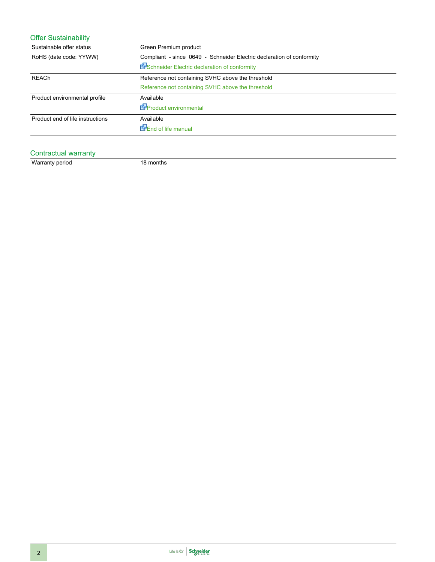| Green Premium product                                                 |
|-----------------------------------------------------------------------|
| Compliant - since 0649 - Schneider Electric declaration of conformity |
| En Schneider Electric declaration of conformity                       |
| Reference not containing SVHC above the threshold                     |
| Reference not containing SVHC above the threshold                     |
| Available                                                             |
| EnProduct environmental                                               |
| Available                                                             |
| <b>Energele</b> manual                                                |
|                                                                       |

# Contractual warranty Warranty period 18 months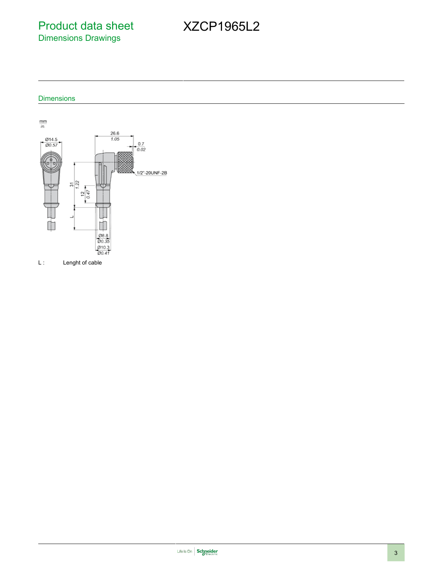Product data sheet Dimensions Drawings

# XZCP1965L2

**Dimensions** 



L : Lenght of cable